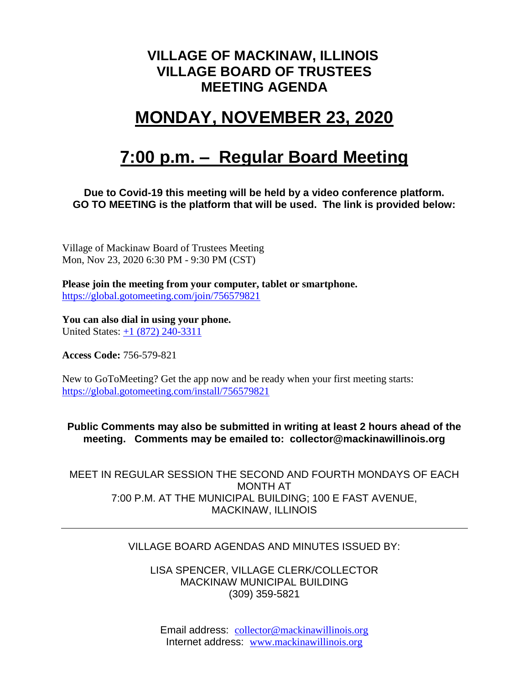### **VILLAGE OF MACKINAW, ILLINOIS VILLAGE BOARD OF TRUSTEES MEETING AGENDA**

# **MONDAY, NOVEMBER 23, 2020**

# **7:00 p.m. – Regular Board Meeting**

#### **Due to Covid-19 this meeting will be held by a video conference platform. GO TO MEETING is the platform that will be used. The link is provided below:**

Village of Mackinaw Board of Trustees Meeting Mon, Nov 23, 2020 6:30 PM - 9:30 PM (CST)

**Please join the meeting from your computer, tablet or smartphone.**  <https://global.gotomeeting.com/join/756579821>

**You can also dial in using your phone.** United States: [+1 \(872\) 240-3311](tel:+18722403311,,756579821)

**Access Code:** 756-579-821

New to GoToMeeting? Get the app now and be ready when your first meeting starts: <https://global.gotomeeting.com/install/756579821>

**Public Comments may also be submitted in writing at least 2 hours ahead of the meeting. Comments may be emailed to: collector@mackinawillinois.org**

MEET IN REGULAR SESSION THE SECOND AND FOURTH MONDAYS OF EACH MONTH AT 7:00 P.M. AT THE MUNICIPAL BUILDING; 100 E FAST AVENUE, MACKINAW, ILLINOIS

#### VILLAGE BOARD AGENDAS AND MINUTES ISSUED BY:

LISA SPENCER, VILLAGE CLERK/COLLECTOR MACKINAW MUNICIPAL BUILDING (309) 359-5821

Email address: [collector@mackinawillinois.org](mailto:collector@mackinawillinois.org) Internet address: [www.mackinawillinois.org](http://www.mackinawillinois.org/)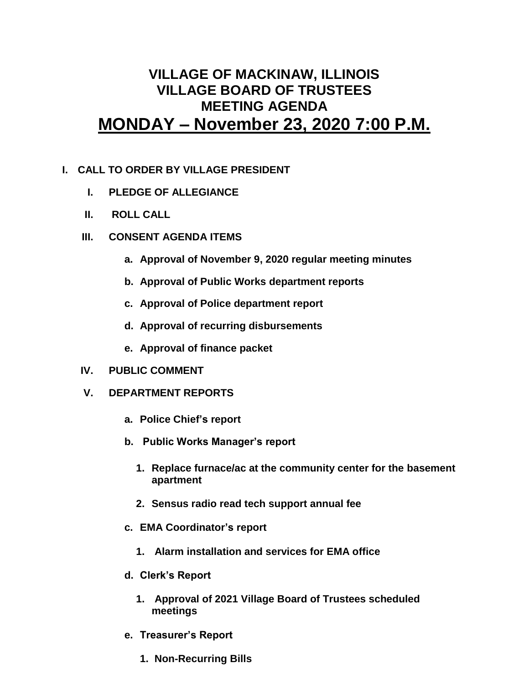### **VILLAGE OF MACKINAW, ILLINOIS VILLAGE BOARD OF TRUSTEES MEETING AGENDA MONDAY – November 23, 2020 7:00 P.M.**

#### **I. CALL TO ORDER BY VILLAGE PRESIDENT**

- **I. PLEDGE OF ALLEGIANCE**
- **II. ROLL CALL**
- **III. CONSENT AGENDA ITEMS** 
	- **a. Approval of November 9, 2020 regular meeting minutes**
	- **b. Approval of Public Works department reports**
	- **c. Approval of Police department report**
	- **d. Approval of recurring disbursements**
	- **e. Approval of finance packet**
- **IV. PUBLIC COMMENT**
- **V. DEPARTMENT REPORTS** 
	- **a. Police Chief's report**
	- **b. Public Works Manager's report**
		- **1. Replace furnace/ac at the community center for the basement apartment**
		- **2. Sensus radio read tech support annual fee**
	- **c. EMA Coordinator's report**
		- **1. Alarm installation and services for EMA office**
	- **d. Clerk's Report**
		- **1. Approval of 2021 Village Board of Trustees scheduled meetings**
	- **e. Treasurer's Report** 
		- **1. Non-Recurring Bills**